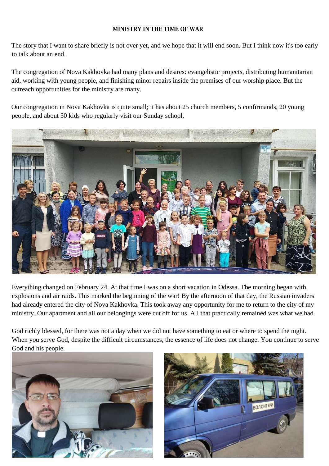## **MINISTRY IN THE TIME OF WAR**

The story that I want to share briefly is not over yet, and we hope that it will end soon. But I think now it's too early to talk about an end.

The congregation of Nova Kakhovka had many plans and desires: evangelistic projects, distributing humanitarian aid, working with young people, and finishing minor repairs inside the premises of our worship place. But the outreach opportunities for the ministry are many.

Our congregation in Nova Kakhovka is quite small; it has about 25 church members, 5 confirmands, 20 young people, and about 30 kids who regularly visit our Sunday school.



Everything changed on February 24. At that time I was on a short vacation in Odessa. The morning began with explosions and air raids. This marked the beginning of the war! By the afternoon of that day, the Russian invaders had already entered the city of Nova Kakhovka. This took away any opportunity for me to return to the city of my ministry. Our apartment and all our belongings were cut off for us. All that practically remained was what we had.

God richly blessed, for there was not a day when we did not have something to eat or where to spend the night. When you serve God, despite the difficult circumstances, the essence of life does not change. You continue to serve God and his people.



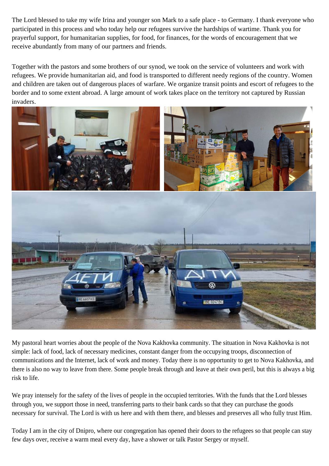The Lord blessed to take my wife Irina and younger son Mark to a safe place - to Germany. I thank everyone who participated in this process and who today help our refugees survive the hardships of wartime. Thank you for prayerful support, for humanitarian supplies, for food, for finances, for the words of encouragement that we receive abundantly from many of our partners and friends.

Together with the pastors and some brothers of our synod, we took on the service of volunteers and work with refugees. We provide humanitarian aid, and food is transported to different needy regions of the country. Women and children are taken out of dangerous places of warfare. We organize transit points and escort of refugees to the border and to some extent abroad. A large amount of work takes place on the territory not captured by Russian invaders.



My pastoral heart worries about the people of the Nova Kakhovka community. The situation in Nova Kakhovka is not simple: lack of food, lack of necessary medicines, constant danger from the occupying troops, disconnection of communications and the Internet, lack of work and money. Today there is no opportunity to get to Nova Kakhovka, and there is also no way to leave from there. Some people break through and leave at their own peril, but this is always a big risk to life.

We pray intensely for the safety of the lives of people in the occupied territories. With the funds that the Lord blesses through you, we support those in need, transferring parts to their bank cards so that they can purchase the goods necessary for survival. The Lord is with us here and with them there, and blesses and preserves all who fully trust Him.

Today I am in the city of Dnipro, where our congregation has opened their doors to the refugees so that people can stay few days over, receive a warm meal every day, have a shower or talk Pastor Sergey or myself.